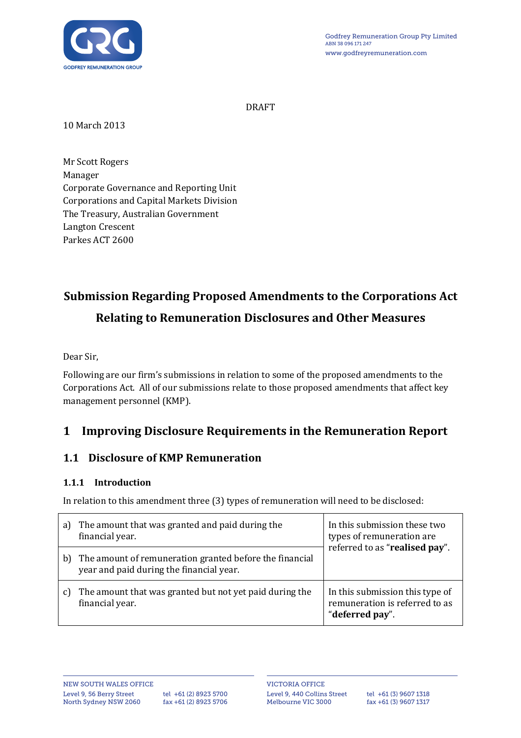

DRAFT

10 March 2013

Mr Scott Rogers Manager Corporate Governance and Reporting Unit Corporations and Capital Markets Division The Treasury, Australian Government Langton Crescent Parkes ACT 2600

# Submission Regarding Proposed Amendments to the Corporations Act Relating to Remuneration Disclosures and Other Measures

Dear Sir,

Following are our firm's submissions in relation to some of the proposed amendments to the Corporations Act. All of our submissions relate to those proposed amendments that affect key management personnel (KMP).

## 1 Improving Disclosure Requirements in the Remuneration Report

#### 1.1 Disclosure of KMP Remuneration

#### 1.1.1 Introduction

In relation to this amendment three (3) types of remuneration will need to be disclosed:

| a) | The amount that was granted and paid during the<br>financial year.                                  | In this submission these two<br>types of remuneration are<br>referred to as "realised pay". |
|----|-----------------------------------------------------------------------------------------------------|---------------------------------------------------------------------------------------------|
| b  | The amount of remuneration granted before the financial<br>year and paid during the financial year. |                                                                                             |
|    | The amount that was granted but not yet paid during the<br>financial year.                          | In this submission this type of<br>remuneration is referred to as<br>"deferred pay".        |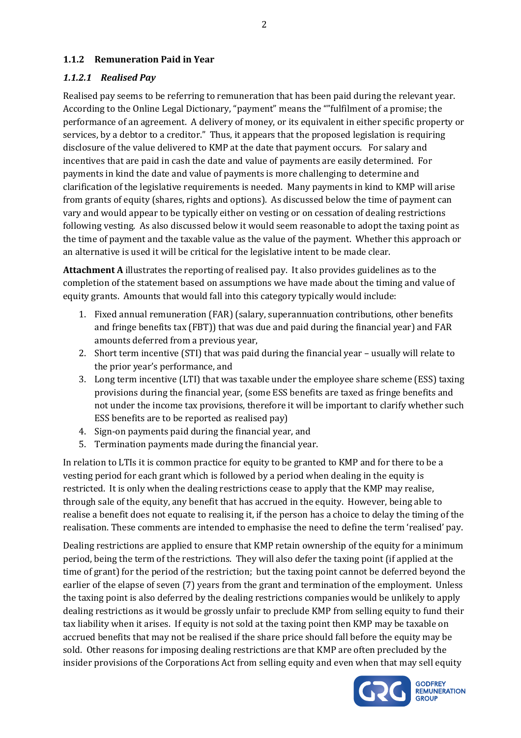#### 1.1.2 Remuneration Paid in Year

#### 1.1.2.1 Realised Pay

Realised pay seems to be referring to remuneration that has been paid during the relevant year. According to the Online Legal Dictionary, "payment" means the ""fulfilment of a promise; the performance of an agreement. A delivery of money, or its equivalent in either specific property or services, by a debtor to a creditor." Thus, it appears that the proposed legislation is requiring disclosure of the value delivered to KMP at the date that payment occurs. For salary and incentives that are paid in cash the date and value of payments are easily determined. For payments in kind the date and value of payments is more challenging to determine and clarification of the legislative requirements is needed. Many payments in kind to KMP will arise from grants of equity (shares, rights and options). As discussed below the time of payment can vary and would appear to be typically either on vesting or on cessation of dealing restrictions following vesting. As also discussed below it would seem reasonable to adopt the taxing point as the time of payment and the taxable value as the value of the payment. Whether this approach or an alternative is used it will be critical for the legislative intent to be made clear.

Attachment A illustrates the reporting of realised pay. It also provides guidelines as to the completion of the statement based on assumptions we have made about the timing and value of equity grants. Amounts that would fall into this category typically would include:

- 1. Fixed annual remuneration (FAR) (salary, superannuation contributions, other benefits and fringe benefits tax (FBT)) that was due and paid during the financial year) and FAR amounts deferred from a previous year,
- 2. Short term incentive (STI) that was paid during the financial year usually will relate to the prior year's performance, and
- 3. Long term incentive (LTI) that was taxable under the employee share scheme (ESS) taxing provisions during the financial year, (some ESS benefits are taxed as fringe benefits and not under the income tax provisions, therefore it will be important to clarify whether such ESS benefits are to be reported as realised pay)
- 4. Sign-on payments paid during the financial year, and
- 5. Termination payments made during the financial year.

In relation to LTIs it is common practice for equity to be granted to KMP and for there to be a vesting period for each grant which is followed by a period when dealing in the equity is restricted. It is only when the dealing restrictions cease to apply that the KMP may realise, through sale of the equity, any benefit that has accrued in the equity. However, being able to realise a benefit does not equate to realising it, if the person has a choice to delay the timing of the realisation. These comments are intended to emphasise the need to define the term 'realised' pay.

Dealing restrictions are applied to ensure that KMP retain ownership of the equity for a minimum period, being the term of the restrictions. They will also defer the taxing point (if applied at the time of grant) for the period of the restriction; but the taxing point cannot be deferred beyond the earlier of the elapse of seven (7) years from the grant and termination of the employment. Unless the taxing point is also deferred by the dealing restrictions companies would be unlikely to apply dealing restrictions as it would be grossly unfair to preclude KMP from selling equity to fund their tax liability when it arises. If equity is not sold at the taxing point then KMP may be taxable on accrued benefits that may not be realised if the share price should fall before the equity may be sold. Other reasons for imposing dealing restrictions are that KMP are often precluded by the insider provisions of the Corporations Act from selling equity and even when that may sell equity



**GODFREY REMUNERATION**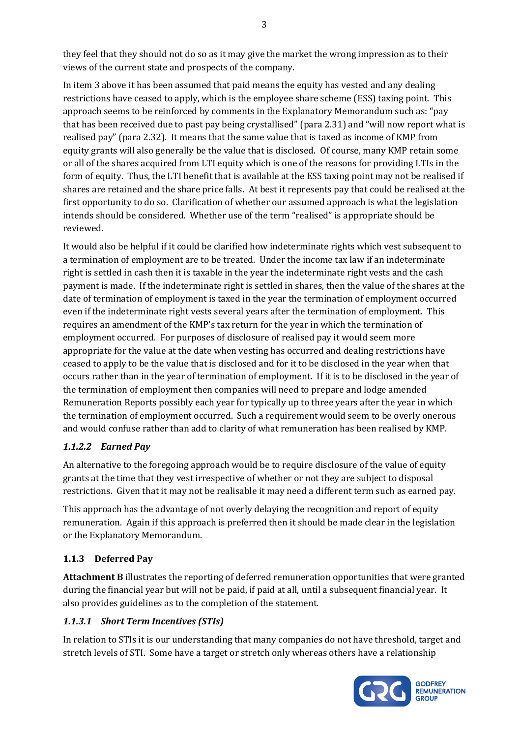they feel that they should not do so as it may give the market the wrong impression as to their views of the current state and prospects of the company.

In item 3 above it has been assumed that paid means the equity has vested and any dealing restrictions have ceased to apply, which is the employee share scheme (ESS) taxing point. This approach seems to be reinforced by comments in the Explanatory Memorandum such as: "pay that has been received due to past pay being crystallised" (para 2.31) and "will now report what is realised pay" (para 2.32). It means that the same value that is taxed as income of KMP from equity grants will also generally be the value that is disclosed. Of course, many KMP retain some or all of the shares acquired from LTI equity which is one of the reasons for providing LTIs in the form of equity. Thus, the LTI benefit that is available at the ESS taxing point may not be realised if shares are retained and the share price falls. At best it represents pay that could be realised at the first opportunity to do so. Clarification of whether our assumed approach is what the legislation intends should be considered. Whether use of the term "realised" is appropriate should be reviewed.

It would also be helpful if it could be clarified how indeterminate rights which vest subsequent to a termination of employment are to be treated. Under the income tax law if an indeterminate right is settled in cash then it is taxable in the year the indeterminate right vests and the cash payment is made. If the indeterminate right is settled in shares, then the value of the shares at the date of termination of employment is taxed in the year the termination of employment occurred even if the indeterminate right vests several years after the termination of employment. This requires an amendment of the KMP's tax return for the year in which the termination of employment occurred. For purposes of disclosure of realised pay it would seem more appropriate for the value at the date when vesting has occurred and dealing restrictions have ceased to apply to be the value that is disclosed and for it to be disclosed in the year when that occurs rather than in the year of termination of employment. If it is to be disclosed in the year of the termination of employment then companies will need to prepare and lodge amended Remuneration Reports possibly each year for typically up to three years after the year in which the termination of employment occurred. Such a requirement would seem to be overly onerous and would confuse rather than add to clarity of what remuneration has been realised by KMP.

#### 1.1.2.2 Earned Pay

An alternative to the foregoing approach would be to require disclosure of the value of equity grants at the time that they vest irrespective of whether or not they are subject to disposal restrictions. Given that it may not be realisable it may need a different term such as earned pay.

This approach has the advantage of not overly delaying the recognition and report of equity remuneration. Again if this approach is preferred then it should be made clear in the legislation or the Explanatory Memorandum.

#### 1.1.3 Deferred Pay

Attachment B illustrates the reporting of deferred remuneration opportunities that were granted during the financial year but will not be paid, if paid at all, until a subsequent financial year. It also provides guidelines as to the completion of the statement.

#### 1.1.3.1 Short Term Incentives (STIs)

In relation to STIs it is our understanding that many companies do not have threshold, target and stretch levels of STI. Some have a target or stretch only whereas others have a relationship

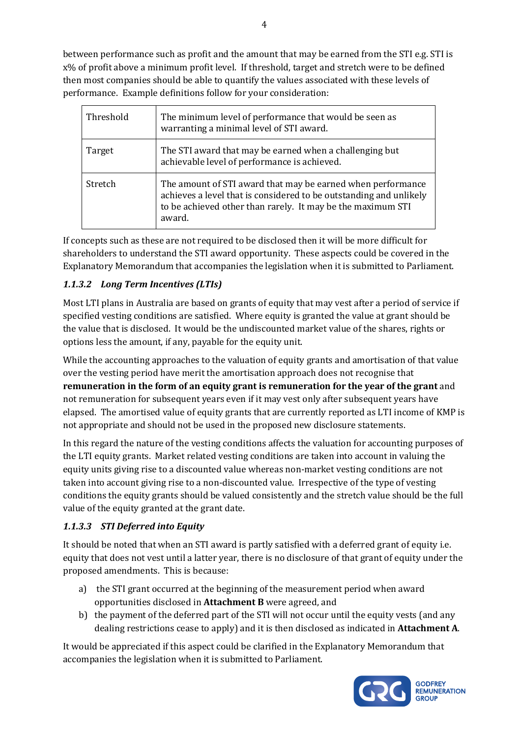between performance such as profit and the amount that may be earned from the STI e.g. STI is x% of profit above a minimum profit level. If threshold, target and stretch were to be defined then most companies should be able to quantify the values associated with these levels of performance. Example definitions follow for your consideration:

| Threshold | The minimum level of performance that would be seen as<br>warranting a minimal level of STI award.                                                                                                         |
|-----------|------------------------------------------------------------------------------------------------------------------------------------------------------------------------------------------------------------|
| Target    | The STI award that may be earned when a challenging but<br>achievable level of performance is achieved.                                                                                                    |
| Stretch   | The amount of STI award that may be earned when performance<br>achieves a level that is considered to be outstanding and unlikely<br>to be achieved other than rarely. It may be the maximum STI<br>award. |

If concepts such as these are not required to be disclosed then it will be more difficult for shareholders to understand the STI award opportunity. These aspects could be covered in the Explanatory Memorandum that accompanies the legislation when it is submitted to Parliament.

#### 1.1.3.2 Long Term Incentives (LTIs)

Most LTI plans in Australia are based on grants of equity that may vest after a period of service if specified vesting conditions are satisfied. Where equity is granted the value at grant should be the value that is disclosed. It would be the undiscounted market value of the shares, rights or options less the amount, if any, payable for the equity unit.

While the accounting approaches to the valuation of equity grants and amortisation of that value over the vesting period have merit the amortisation approach does not recognise that remuneration in the form of an equity grant is remuneration for the year of the grant and not remuneration for subsequent years even if it may vest only after subsequent years have elapsed. The amortised value of equity grants that are currently reported as LTI income of KMP is not appropriate and should not be used in the proposed new disclosure statements.

In this regard the nature of the vesting conditions affects the valuation for accounting purposes of the LTI equity grants. Market related vesting conditions are taken into account in valuing the equity units giving rise to a discounted value whereas non-market vesting conditions are not taken into account giving rise to a non-discounted value. Irrespective of the type of vesting conditions the equity grants should be valued consistently and the stretch value should be the full value of the equity granted at the grant date.

#### 1.1.3.3 STI Deferred into Equity

It should be noted that when an STI award is partly satisfied with a deferred grant of equity i.e. equity that does not vest until a latter year, there is no disclosure of that grant of equity under the proposed amendments. This is because:

- a) the STI grant occurred at the beginning of the measurement period when award opportunities disclosed in Attachment B were agreed, and
- b) the payment of the deferred part of the STI will not occur until the equity vests (and any dealing restrictions cease to apply) and it is then disclosed as indicated in **Attachment A**.

It would be appreciated if this aspect could be clarified in the Explanatory Memorandum that accompanies the legislation when it is submitted to Parliament.

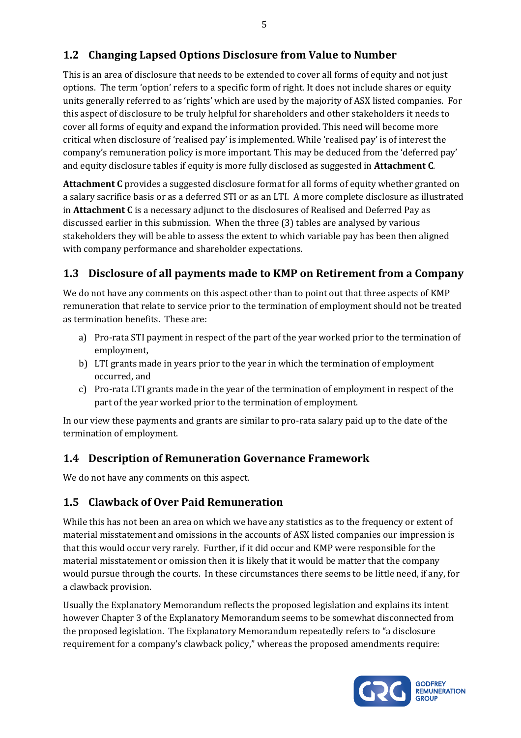### 1.2 Changing Lapsed Options Disclosure from Value to Number

This is an area of disclosure that needs to be extended to cover all forms of equity and not just options. The term 'option' refers to a specific form of right. It does not include shares or equity units generally referred to as 'rights' which are used by the majority of ASX listed companies. For this aspect of disclosure to be truly helpful for shareholders and other stakeholders it needs to cover all forms of equity and expand the information provided. This need will become more critical when disclosure of 'realised pay' is implemented. While 'realised pay' is of interest the company's remuneration policy is more important. This may be deduced from the 'deferred pay' and equity disclosure tables if equity is more fully disclosed as suggested in **Attachment C**.

Attachment C provides a suggested disclosure format for all forms of equity whether granted on a salary sacrifice basis or as a deferred STI or as an LTI. A more complete disclosure as illustrated in Attachment C is a necessary adjunct to the disclosures of Realised and Deferred Pay as discussed earlier in this submission. When the three (3) tables are analysed by various stakeholders they will be able to assess the extent to which variable pay has been then aligned with company performance and shareholder expectations.

### 1.3 Disclosure of all payments made to KMP on Retirement from a Company

We do not have any comments on this aspect other than to point out that three aspects of KMP remuneration that relate to service prior to the termination of employment should not be treated as termination benefits. These are:

- a) Pro-rata STI payment in respect of the part of the year worked prior to the termination of employment,
- b) LTI grants made in years prior to the year in which the termination of employment occurred, and
- c) Pro-rata LTI grants made in the year of the termination of employment in respect of the part of the year worked prior to the termination of employment.

In our view these payments and grants are similar to pro-rata salary paid up to the date of the termination of employment.

#### 1.4 Description of Remuneration Governance Framework

We do not have any comments on this aspect.

#### 1.5 Clawback of Over Paid Remuneration

While this has not been an area on which we have any statistics as to the frequency or extent of material misstatement and omissions in the accounts of ASX listed companies our impression is that this would occur very rarely. Further, if it did occur and KMP were responsible for the material misstatement or omission then it is likely that it would be matter that the company would pursue through the courts. In these circumstances there seems to be little need, if any, for a clawback provision.

Usually the Explanatory Memorandum reflects the proposed legislation and explains its intent however Chapter 3 of the Explanatory Memorandum seems to be somewhat disconnected from the proposed legislation. The Explanatory Memorandum repeatedly refers to "a disclosure requirement for a company's clawback policy," whereas the proposed amendments require:

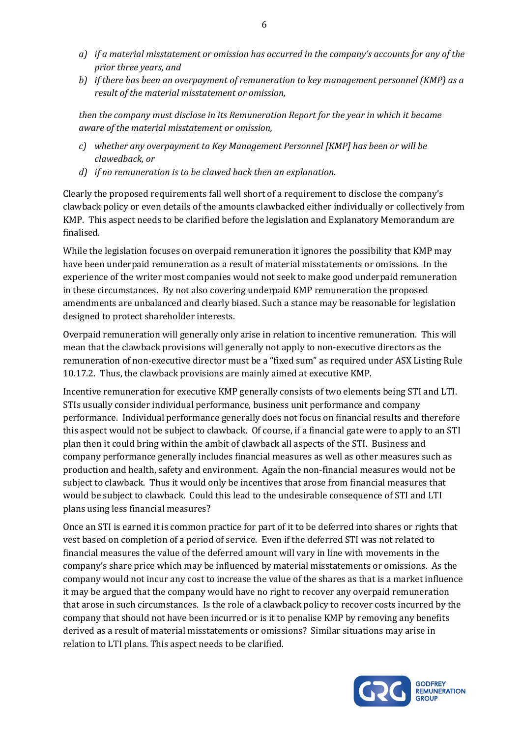- a) if a material misstatement or omission has occurred in the company's accounts for any of the prior three years, and
- b) if there has been an overpayment of remuneration to key management personnel (KMP) as a result of the material misstatement or omission,

then the company must disclose in its Remuneration Report for the year in which it became aware of the material misstatement or omission,

- c) whether any overpayment to Key Management Personnel [KMP] has been or will be clawedback, or
- d) if no remuneration is to be clawed back then an explanation.

Clearly the proposed requirements fall well short of a requirement to disclose the company's clawback policy or even details of the amounts clawbacked either individually or collectively from KMP. This aspect needs to be clarified before the legislation and Explanatory Memorandum are finalised.

While the legislation focuses on overpaid remuneration it ignores the possibility that KMP may have been underpaid remuneration as a result of material misstatements or omissions. In the experience of the writer most companies would not seek to make good underpaid remuneration in these circumstances. By not also covering underpaid KMP remuneration the proposed amendments are unbalanced and clearly biased. Such a stance may be reasonable for legislation designed to protect shareholder interests.

Overpaid remuneration will generally only arise in relation to incentive remuneration. This will mean that the clawback provisions will generally not apply to non-executive directors as the remuneration of non-executive director must be a "fixed sum" as required under ASX Listing Rule 10.17.2. Thus, the clawback provisions are mainly aimed at executive KMP.

Incentive remuneration for executive KMP generally consists of two elements being STI and LTI. STIs usually consider individual performance, business unit performance and company performance. Individual performance generally does not focus on financial results and therefore this aspect would not be subject to clawback. Of course, if a financial gate were to apply to an STI plan then it could bring within the ambit of clawback all aspects of the STI. Business and company performance generally includes financial measures as well as other measures such as production and health, safety and environment. Again the non-financial measures would not be subject to clawback. Thus it would only be incentives that arose from financial measures that would be subject to clawback. Could this lead to the undesirable consequence of STI and LTI plans using less financial measures?

Once an STI is earned it is common practice for part of it to be deferred into shares or rights that vest based on completion of a period of service. Even if the deferred STI was not related to financial measures the value of the deferred amount will vary in line with movements in the company's share price which may be influenced by material misstatements or omissions. As the company would not incur any cost to increase the value of the shares as that is a market influence it may be argued that the company would have no right to recover any overpaid remuneration that arose in such circumstances. Is the role of a clawback policy to recover costs incurred by the company that should not have been incurred or is it to penalise KMP by removing any benefits derived as a result of material misstatements or omissions? Similar situations may arise in relation to LTI plans. This aspect needs to be clarified.

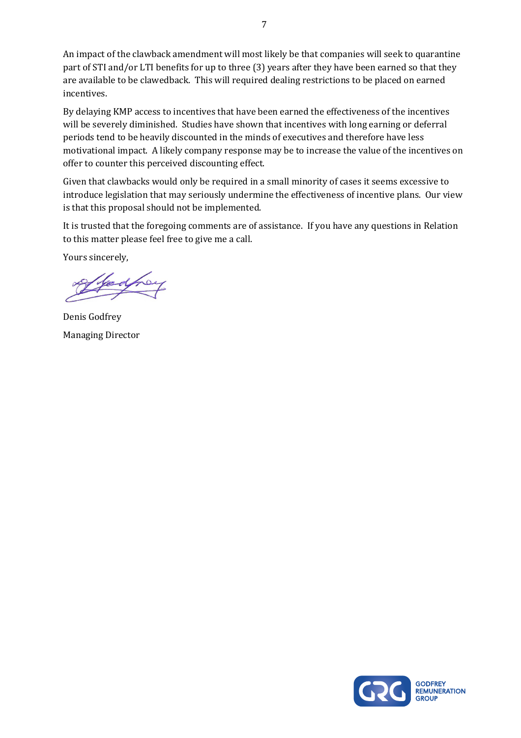An impact of the clawback amendment will most likely be that companies will seek to quarantine part of STI and/or LTI benefits for up to three (3) years after they have been earned so that they are available to be clawedback. This will required dealing restrictions to be placed on earned incentives.

By delaying KMP access to incentives that have been earned the effectiveness of the incentives will be severely diminished. Studies have shown that incentives with long earning or deferral periods tend to be heavily discounted in the minds of executives and therefore have less motivational impact. A likely company response may be to increase the value of the incentives on offer to counter this perceived discounting effect.

Given that clawbacks would only be required in a small minority of cases it seems excessive to introduce legislation that may seriously undermine the effectiveness of incentive plans. Our view is that this proposal should not be implemented.

It is trusted that the foregoing comments are of assistance. If you have any questions in Relation to this matter please feel free to give me a call.

Yours sincerely,

Denis Godfrey Managing Director

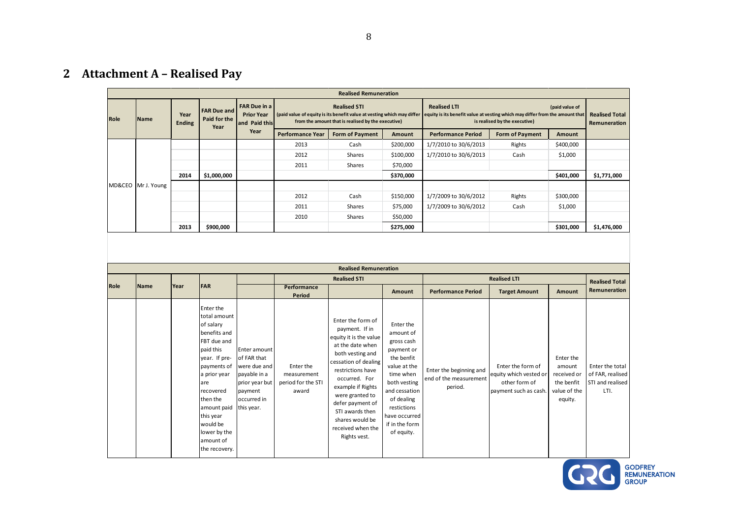## 2 Attachment A – Realised Pay

|      | <b>Realised Remuneration</b> |                       |                      |                    |                         |                        |                                                           |                           |                                                                                                                                                                                                                                                                                                            |           |             |  |  |  |
|------|------------------------------|-----------------------|----------------------|--------------------|-------------------------|------------------------|-----------------------------------------------------------|---------------------------|------------------------------------------------------------------------------------------------------------------------------------------------------------------------------------------------------------------------------------------------------------------------------------------------------------|-----------|-------------|--|--|--|
| Role | Name                         | Year<br><b>Ending</b> | Paid for the<br>Year | <b>FAR Due and</b> |                         |                        | <b>FAR Due in a</b><br><b>Prior Year</b><br>and Paid this |                           | <b>Realised STI</b><br><b>Realised LTI</b><br>(paid value of<br>(paid value of equity is its benefit value at vesting which may differ equity is its benefit value at vesting which may differ from the amount that<br>from the amount that is realised by the executive)<br>is realised by the executive) |           |             |  |  |  |
|      |                              |                       |                      | Year               | <b>Performance Year</b> | <b>Form of Payment</b> | Amount                                                    | <b>Performance Period</b> | <b>Form of Payment</b>                                                                                                                                                                                                                                                                                     | Amount    |             |  |  |  |
|      |                              |                       |                      |                    | 2013                    | Cash                   | \$200,000                                                 | 1/7/2010 to 30/6/2013     | Rights                                                                                                                                                                                                                                                                                                     | \$400,000 |             |  |  |  |
|      |                              |                       |                      |                    | 2012                    | Shares                 | \$100,000                                                 | 1/7/2010 to 30/6/2013     | Cash                                                                                                                                                                                                                                                                                                       | \$1,000   |             |  |  |  |
|      |                              |                       |                      |                    | 2011                    | Shares                 | \$70,000                                                  |                           |                                                                                                                                                                                                                                                                                                            |           |             |  |  |  |
|      |                              | 2014                  | \$1,000,000          |                    |                         |                        | \$370,000                                                 |                           |                                                                                                                                                                                                                                                                                                            | \$401,000 | \$1,771,000 |  |  |  |
|      | MD&CEO Mr J. Young           |                       |                      |                    |                         |                        |                                                           |                           |                                                                                                                                                                                                                                                                                                            |           |             |  |  |  |
|      |                              |                       |                      |                    | 2012                    | Cash                   | \$150,000                                                 | 1/7/2009 to 30/6/2012     | Rights                                                                                                                                                                                                                                                                                                     | \$300,000 |             |  |  |  |
|      |                              |                       |                      |                    | 2011                    | <b>Shares</b>          | \$75,000                                                  | 1/7/2009 to 30/6/2012     | Cash                                                                                                                                                                                                                                                                                                       | \$1,000   |             |  |  |  |
|      |                              |                       |                      |                    | 2010                    | Shares                 | \$50,000                                                  |                           |                                                                                                                                                                                                                                                                                                            |           |             |  |  |  |
|      |                              | 2013                  | \$900,000            |                    |                         |                        | \$275,000                                                 |                           |                                                                                                                                                                                                                                                                                                            | \$301,000 | \$1,476,000 |  |  |  |

| <b>Realised Remuneration</b> |             |      |                                                                                                                                                                                                                                                          |                                                                                                                         |                                                         |                                                                                                                                                                                                                                                                                                            |                                                                                                                                                                                                              |                                                              |                                                                                       |                                                                             |                                                                 |  |  |
|------------------------------|-------------|------|----------------------------------------------------------------------------------------------------------------------------------------------------------------------------------------------------------------------------------------------------------|-------------------------------------------------------------------------------------------------------------------------|---------------------------------------------------------|------------------------------------------------------------------------------------------------------------------------------------------------------------------------------------------------------------------------------------------------------------------------------------------------------------|--------------------------------------------------------------------------------------------------------------------------------------------------------------------------------------------------------------|--------------------------------------------------------------|---------------------------------------------------------------------------------------|-----------------------------------------------------------------------------|-----------------------------------------------------------------|--|--|
|                              |             |      |                                                                                                                                                                                                                                                          |                                                                                                                         | <b>Realised STI</b>                                     |                                                                                                                                                                                                                                                                                                            |                                                                                                                                                                                                              |                                                              | <b>Realised Total</b>                                                                 |                                                                             |                                                                 |  |  |
| Role                         | <b>Name</b> | Year | <b>FAR</b>                                                                                                                                                                                                                                               |                                                                                                                         | Performance<br>Period                                   |                                                                                                                                                                                                                                                                                                            | Amount                                                                                                                                                                                                       | <b>Performance Period</b>                                    | <b>Target Amount</b>                                                                  | Amount                                                                      | Remuneration                                                    |  |  |
|                              |             |      | Enter the<br>total amount<br>of salary<br>benefits and<br>FBT due and<br>paid this<br>year. If pre-<br>payments of<br>a prior year<br>are<br>recovered<br>then the<br>amount paid<br>this year<br>would be<br>lower by the<br>amount of<br>the recovery. | Enter amount<br>of FAR that<br>were due and<br>payable in a<br>prior year but<br>payment<br>l occurred in<br>this year. | Enter the<br>measurement<br>period for the STI<br>award | Enter the form of<br>payment. If in<br>equity it is the value<br>at the date when<br>both vesting and<br>cessation of dealing<br>restrictions have<br>occurred. For<br>example if Rights<br>were granted to<br>defer payment of<br>STI awards then<br>shares would be<br>received when the<br>Rights vest. | Enter the<br>amount of<br>gross cash<br>payment or<br>the benfit<br>value at the<br>time when<br>both vesting<br>and cessation<br>of dealing<br>restictions<br>have occurred<br>if in the form<br>of equity. | Enter the beginning and<br>end of the measurement<br>period. | Enter the form of<br>equity which vested or<br>other form of<br>payment such as cash. | Enter the<br>amount<br>received or<br>the benfit<br>value of the<br>equity. | Enter the total<br>of FAR, realised<br>STI and realised<br>LTI. |  |  |

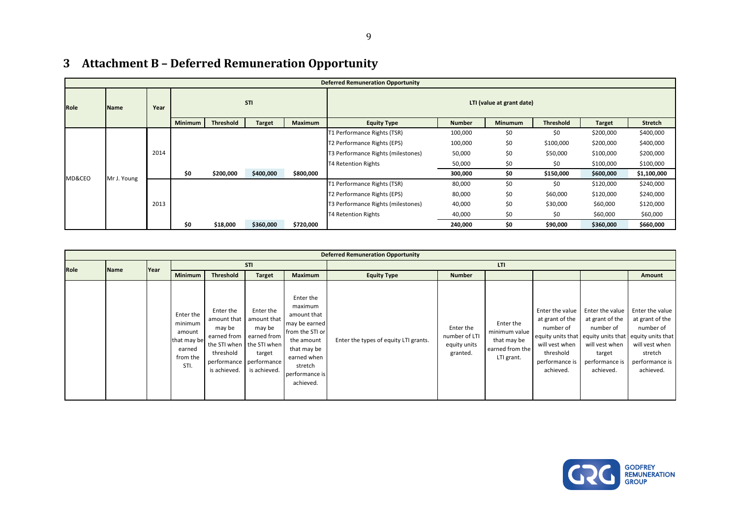|      |             |      |                |           |               |                | <i>Redefinition D</i> Deferred Remancration Opportunity |               |                |           |               |           |  |
|------|-------------|------|----------------|-----------|---------------|----------------|---------------------------------------------------------|---------------|----------------|-----------|---------------|-----------|--|
|      |             |      |                |           |               |                | <b>Deferred Remuneration Opportunity</b>                |               |                |           |               |           |  |
| Role | <b>Name</b> | Year | <b>STI</b>     |           |               |                | LTI (value at grant date)                               |               |                |           |               |           |  |
|      |             |      | <b>Minimum</b> | Threshold | <b>Target</b> | <b>Maximum</b> | <b>Equity Type</b>                                      | <b>Number</b> | <b>Minumum</b> | Threshold | <b>Target</b> | Stretch   |  |
|      |             |      |                |           |               |                | T1 Performance Rights (TSR)                             | 100,000       | \$0            | \$0       | \$200,000     | \$400,000 |  |
|      |             |      |                |           |               |                | T2 Performance Rights (EPS)                             | 100,000       | \$0            | \$100,000 | \$200,000     | \$400,000 |  |
|      |             | 2014 |                |           |               |                | T3 Performance Rights (milestones)                      | 50,000        | \$0            | \$50,000  | \$100,000     | \$200,000 |  |
|      |             |      |                |           |               |                | <b>T4 Retention Rights</b>                              | 50,000        | \$0            | \$0       | \$100,000     | \$100,000 |  |

#### 3Attachment B - Deferred Remuneration Opportunity

MD&CEO Mr J. Young

2013

\$0 \$200,000 \$400,000 \$800,000

\$0 \$18,000 \$360,000 \$720,000

|             | <b>Deferred Remuneration Opportunity</b> |              |                                                                             |                                                                   |                                                                                                                                                 |                                                                                                                                                               |                                       |                                                        |                                                                            |                                                                                                               |                                                                                                            |                                                                                                                                                                      |  |  |
|-------------|------------------------------------------|--------------|-----------------------------------------------------------------------------|-------------------------------------------------------------------|-------------------------------------------------------------------------------------------------------------------------------------------------|---------------------------------------------------------------------------------------------------------------------------------------------------------------|---------------------------------------|--------------------------------------------------------|----------------------------------------------------------------------------|---------------------------------------------------------------------------------------------------------------|------------------------------------------------------------------------------------------------------------|----------------------------------------------------------------------------------------------------------------------------------------------------------------------|--|--|
| <b>Role</b> | Name                                     | <b>IYear</b> | <b>STI</b>                                                                  |                                                                   |                                                                                                                                                 |                                                                                                                                                               | LTI                                   |                                                        |                                                                            |                                                                                                               |                                                                                                            |                                                                                                                                                                      |  |  |
|             |                                          |              | <b>Minimum</b>                                                              | <b>Threshold</b>                                                  | <b>Target</b>                                                                                                                                   | <b>Maximum</b>                                                                                                                                                | <b>Equity Type</b>                    | <b>Number</b>                                          |                                                                            |                                                                                                               |                                                                                                            | Amount                                                                                                                                                               |  |  |
|             |                                          |              | Enter the<br>minimum<br>amount<br>that may be<br>earned<br>from the<br>STI. | Enter the<br>amount that  <br>may be<br>threshold<br>is achieved. | Enter the<br>amount that<br>may be<br>earned from earned from<br>the STI when the STI when<br>target<br>performance performance<br>is achieved. | Enter the<br>maximum<br>amount that<br>may be earned<br>from the STI or<br>the amount<br>that may be<br>earned when<br>stretch<br>performance is<br>achieved. | Enter the types of equity LTI grants. | Enter the<br>number of LTI<br>equity units<br>granted. | Enter the<br>minimum value<br>that may be<br>earned from the<br>LTI grant. | Enter the value<br>at grant of the<br>number of<br>will vest when<br>threshold<br>performance is<br>achieved. | Enter the value<br>at grant of the<br>number of<br>will vest when<br>target<br>performance is<br>achieved. | Enter the value<br>at grant of the<br>number of<br>equity units that equity units that equity units that<br>will vest when<br>stretch<br>performance is<br>achieved. |  |  |



\$400,000

\$400,000

\$200,000

\$100,000

\$240,000

\$60,000

\$660,000

 $\frac{300,000}{1000}$  \$150,000 \$600,000 \$1,100,000 T1 Performance Rights (TSR) 80,000 \$0 \$0 \$120,000 \$240,000

T3 Performance Rights (milestones) 40,000 \$0 \$30,000 \$60,000 \$120,000

 $\begin{array}{ccccccc} 0 & \hspace{1.5mm} & 240,000 & \hspace{1.5mm} & 50 & \hspace{1.5mm} & 500,000 & \hspace{1.5mm} & 560,000 \end{array}$ 

T2 Performance Rights (EPS) 80,000 \$0 \$60,000 \$120,000

T4 Retention Rights  $\frac{40,000}{240,000}$  \$0 \$0,000 \$160,000 \$160,000